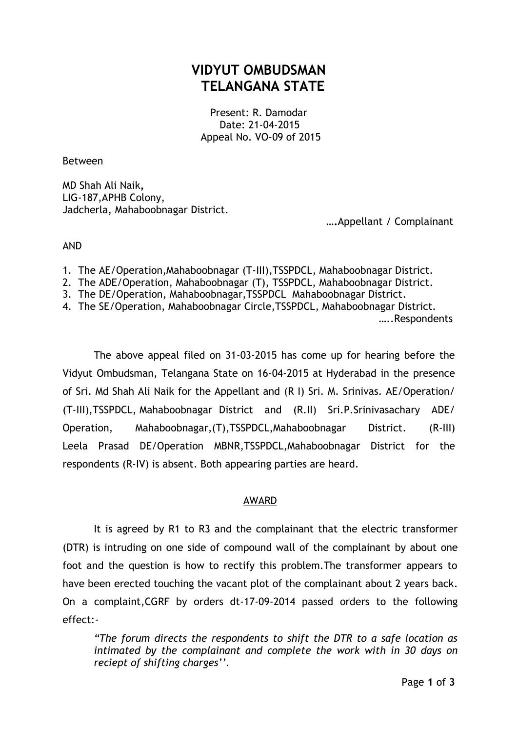# **VIDYUT OMBUDSMAN TELANGANA STATE**

Present: R. Damodar Date: 21-04-2015 Appeal No. VO-09 of 2015

Between

MD Shah Ali Naik**,** LIG-187,APHB Colony, Jadcherla, Mahaboobnagar District.

 **….**Appellant / Complainant

### AND

- 1. The AE/Operation,Mahaboobnagar (T-III),TSSPDCL, Mahaboobnagar District.
- 2. The ADE/Operation, Mahaboobnagar (T), TSSPDCL, Mahaboobnagar District.
- 3. The DE/Operation, Mahaboobnagar,TSSPDCL Mahaboobnagar District.
- 4. The SE/Operation, Mahaboobnagar Circle,TSSPDCL, Mahaboobnagar District.

…..Respondents

The above appeal filed on 31-03-2015 has come up for hearing before the Vidyut Ombudsman, Telangana State on 16-04-2015 at Hyderabad in the presence of Sri. Md Shah Ali Naik for the Appellant and (R I) Sri. M. Srinivas. AE/Operation/ (T-III),TSSPDCL, Mahaboobnagar District and (R.II) Sri.P.Srinivasachary ADE/ Operation, Mahaboobnagar,(T),TSSPDCL,Mahaboobnagar District. (R-III) Leela Prasad DE/Operation MBNR,TSSPDCL,Mahaboobnagar District for the respondents (R-IV) is absent. Both appearing parties are heard.

## AWARD

It is agreed by R1 to R3 and the complainant that the electric transformer (DTR) is intruding on one side of compound wall of the complainant by about one foot and the question is how to rectify this problem.The transformer appears to have been erected touching the vacant plot of the complainant about 2 years back. On a complaint,CGRF by orders dt-17-09-2014 passed orders to the following effect:-

*"The forum directs the respondents to shift the DTR to a safe location as intimated by the complainant and complete the work with in 30 days on reciept of shifting charges''.*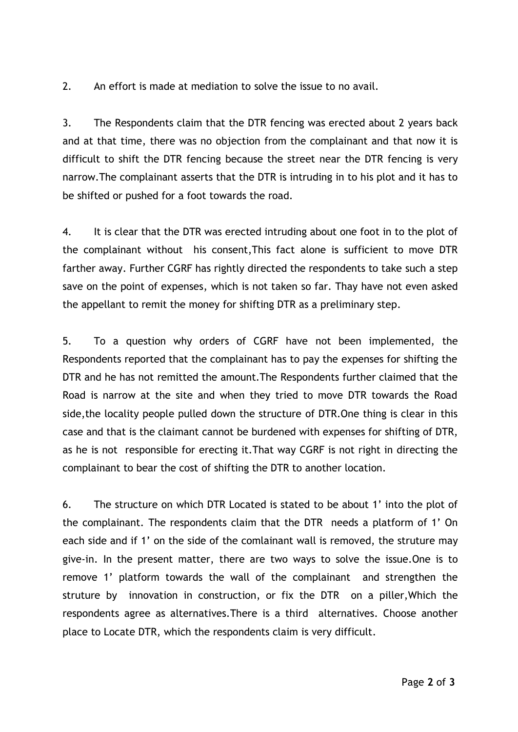2. An effort is made at mediation to solve the issue to no avail.

3. The Respondents claim that the DTR fencing was erected about 2 years back and at that time, there was no objection from the complainant and that now it is difficult to shift the DTR fencing because the street near the DTR fencing is very narrow.The complainant asserts that the DTR is intruding in to his plot and it has to be shifted or pushed for a foot towards the road.

4. It is clear that the DTR was erected intruding about one foot in to the plot of the complainant without his consent,This fact alone is sufficient to move DTR farther away. Further CGRF has rightly directed the respondents to take such a step save on the point of expenses, which is not taken so far. Thay have not even asked the appellant to remit the money for shifting DTR as a preliminary step.

5. To a question why orders of CGRF have not been implemented, the Respondents reported that the complainant has to pay the expenses for shifting the DTR and he has not remitted the amount.The Respondents further claimed that the Road is narrow at the site and when they tried to move DTR towards the Road side,the locality people pulled down the structure of DTR.One thing is clear in this case and that is the claimant cannot be burdened with expenses for shifting of DTR, as he is not responsible for erecting it.That way CGRF is not right in directing the complainant to bear the cost of shifting the DTR to another location.

6. The structure on which DTR Located is stated to be about 1' into the plot of the complainant. The respondents claim that the DTR needs a platform of 1' On each side and if 1' on the side of the comlainant wall is removed, the struture may give-in. In the present matter, there are two ways to solve the issue.One is to remove 1' platform towards the wall of the complainant and strengthen the struture by innovation in construction, or fix the DTR on a piller,Which the respondents agree as alternatives.There is a third alternatives. Choose another place to Locate DTR, which the respondents claim is very difficult.